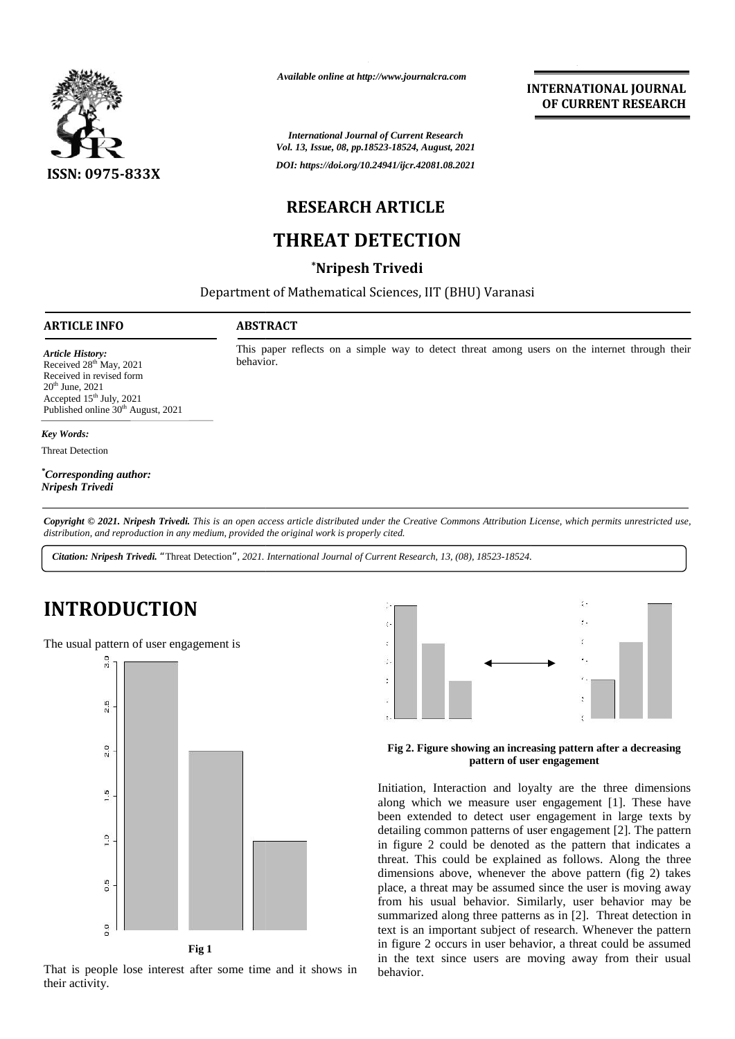

*Available online at http://www.journalcra.com*

*International Journal of Current Research Vol. 13, Issue, 08, pp.18523-18524, August, 2021 DOI: https://doi.org/10.24941/ijcr.42081.08.2021*

# **RESEARCH ARTICLE**

# **THREAT DETECTION**

## **\*Nripesh Trivedi**

Department of Mathematical Sciences, IIT (BHU) Varanasi

### **ARTICLE INFO ABSTRACT ARTICLE ABSTRACT**

This paper reflects on a simple way to detect threat among users on the internet through their behavior. behavior.

*Article History: Article History:* Received  $28<sup>th</sup>$  May,  $2021$ Received 28 May, 2021<br>Received in revised form<br>20<sup>th</sup> June, 2021  $20<sup>th</sup>$  June,  $2021$ Accepted  $15<sup>th</sup>$  July, 2021 Published online 30<sup>th</sup> August, 2021 Received in revised form<br>  $20^{\text{th}}$  June, 2021<br>
Accepted 15<sup>th</sup> July, 2021<br>
Published online  $30^{\text{th}}$  Aug<br> *Key Words*:<br>
Threat Detection

### *Key Words:*

Threat Detection

*\*Corresponding author: author: Nripesh Trivedi*

Copyright © 2021. Nripesh Trivedi. This is an open access article distributed under the Creative Commons Attribution License, which permits unrestricted use, *distribution, and reproduction in any medium, provided the original work is properly cited. distribution,any Physical difference to the agency of the agency of the agency of the agency of the criginal work is properly cited.<br>
<i>Trivedi. This is an open access article distributed under the Creduction in any medium, provided the or* 

*Citation: Nripesh Trivedi. "*Threat Detection*", 2021. International Journal of Current Research, 13, (08), 18523-18524.*

# **INTRODUCTION INTRODUCTION**



That is people lose interest after some time and it shows in their activity.



### **Fig 2. Figure showing an increasing pattern after a decreasing pattern of user engagement**

Initiation, Interaction and loyalty are the three dimensions along which we measure user engagement [1]. These have been extended to detect user engagement in large texts by detailing common patterns of user engagement [2]. The pattern in figure 2 could be denoted as the pattern that indicates a threat. This could be explained as follows. Along the three dimensions above, whenever the above pattern (fig 2) takes place, a threat may be assumed since the user is moving away from his usual behavior. Similarly, user behavior may be summarized along three patterns as in [2]. Threat detection in text is an important subject of research. Whenever the pattern in figure 2 occurs in user behavior, a threat could be assumed in the text since users are moving away from their usual behavior. **Extern of user engagement**<br> **Extern of user engagement**<br> **Extern of user engagement** (1). These have<br>
been extended to detect user engagement [1]. These have<br>
been extended to detect user engagement in large texts by<br>
det detailing common patterns of user engagement [2]. The pattern<br>in figure 2 could be denoted as the pattern that indicates a<br>threat. This could be explained as follows. Along the three<br>dimensions above, whenever the above pa

**INTERNATIONAL JOURNAL OF CURRENT RESEARCH**